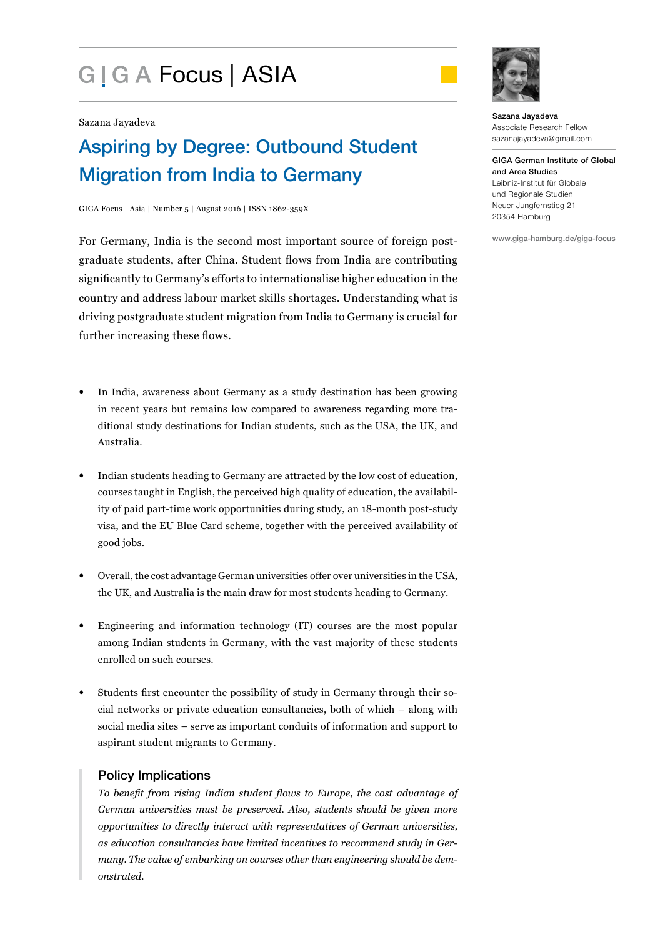# G | G A Focus | ASIA



Sazana Jayadeva

## Aspiring by Degree: Outbound Student Migration from India to Germany

#### GIGA Focus | Asia | Number 5 | August 2016 | ISSN 1862-359X

For Germany, India is the second most important source of foreign postgraduate students, after China. Student flows from India are contributing significantly to Germany's efforts to internationalise higher education in the country and address labour market skills shortages. Understanding what is driving postgraduate student migration from India to Germany is crucial for further increasing these flows.

- In India, awareness about Germany as a study destination has been growing in recent years but remains low compared to awareness regarding more traditional study destinations for Indian students, such as the USA, the UK, and Australia.
- Indian students heading to Germany are attracted by the low cost of education, courses taught in English, the perceived high quality of education, the availability of paid part-time work opportunities during study, an 18-month post-study visa, and the EU Blue Card scheme, together with the perceived availability of good jobs.
- Overall, the cost advantage German universities offer over universities in the USA, the UK, and Australia is the main draw for most students heading to Germany.
- Engineering and information technology (IT) courses are the most popular among Indian students in Germany, with the vast majority of these students enrolled on such courses.
- Students first encounter the possibility of study in Germany through their social networks or private education consultancies, both of which – along with social media sites – serve as important conduits of information and support to aspirant student migrants to Germany.

#### Policy Implications

*To benefit from rising Indian student flows to Europe, the cost advantage of German universities must be preserved. Also, students should be given more opportunities to directly interact with representatives of German universities, as education consultancies have limited incentives to recommend study in Germany. The value of embarking on courses other than engineering should be demonstrated.*

Sazana Jayadeva Associate Research Fellow sazanajayadeva@gmail.com

GIGA German Institute of Global and Area Studies Leibniz-Institut für Globale und Regionale Studien Neuer Jungfernstieg 21 20354 Hamburg

www.giga-hamburg.de/giga-focus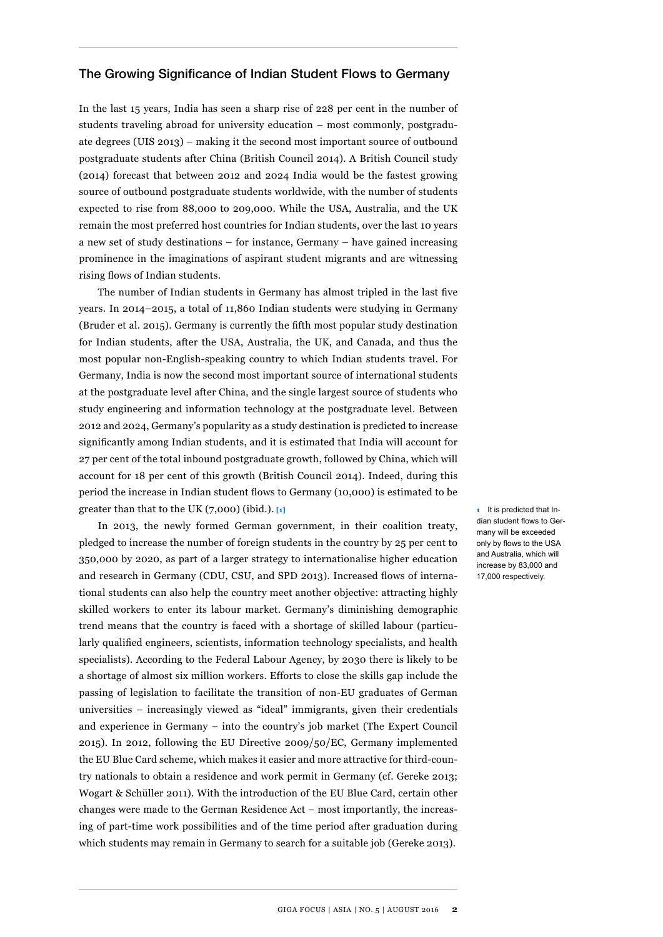#### The Growing Significance of Indian Student Flows to Germany

In the last 15 years, India has seen a sharp rise of 228 per cent in the number of students traveling abroad for university education – most commonly, postgraduate degrees (UIS 2013) – making it the second most important source of outbound postgraduate students after China (British Council 2014). A British Council study (2014) forecast that between 2012 and 2024 India would be the fastest growing source of outbound postgraduate students worldwide, with the number of students expected to rise from 88,000 to 209,000. While the USA, Australia, and the UK remain the most preferred host countries for Indian students, over the last 10 years a new set of study destinations – for instance, Germany – have gained increasing prominence in the imaginations of aspirant student migrants and are witnessing rising flows of Indian students.

The number of Indian students in Germany has almost tripled in the last five years. In 2014–2015, a total of 11,860 Indian students were studying in Germany (Bruder et al. 2015). Germany is currently the fifth most popular study destination for Indian students, after the USA, Australia, the UK, and Canada, and thus the most popular non-English-speaking country to which Indian students travel. For Germany, India is now the second most important source of international students at the postgraduate level after China, and the single largest source of students who study engineering and information technology at the postgraduate level. Between 2012 and 2024, Germany's popularity as a study destination is predicted to increase significantly among Indian students, and it is estimated that India will account for 27 per cent of the total inbound postgraduate growth, followed by China, which will account for 18 per cent of this growth (British Council 2014). Indeed, during this period the increase in Indian student flows to Germany (10,000) is estimated to be greater than that to the UK (7,000) (ibid.). **[1]**

In 2013, the newly formed German government, in their coalition treaty, pledged to increase the number of foreign students in the country by 25 per cent to 350,000 by 2020, as part of a larger strategy to internationalise higher education and research in Germany (CDU, CSU, and SPD 2013). Increased flows of international students can also help the country meet another objective: attracting highly skilled workers to enter its labour market. Germany's diminishing demographic trend means that the country is faced with a shortage of skilled labour (particularly qualified engineers, scientists, information technology specialists, and health specialists). According to the Federal Labour Agency, by 2030 there is likely to be a shortage of almost six million workers. Efforts to close the skills gap include the passing of legislation to facilitate the transition of non-EU graduates of German universities – increasingly viewed as "ideal" immigrants, given their credentials and experience in Germany – into the country's job market (The Expert Council 2015). In 2012, following the EU Directive 2009/50/EC, Germany implemented the EU Blue Card scheme, which makes it easier and more attractive for third-country nationals to obtain a residence and work permit in Germany (cf. Gereke 2013; Wogart & Schüller 2011). With the introduction of the EU Blue Card, certain other changes were made to the German Residence Act – most importantly, the increasing of part-time work possibilities and of the time period after graduation during which students may remain in Germany to search for a suitable job (Gereke 2013).

**1** It is predicted that Indian student flows to Germany will be exceeded only by flows to the USA and Australia, which will increase by 83,000 and 17,000 respectively.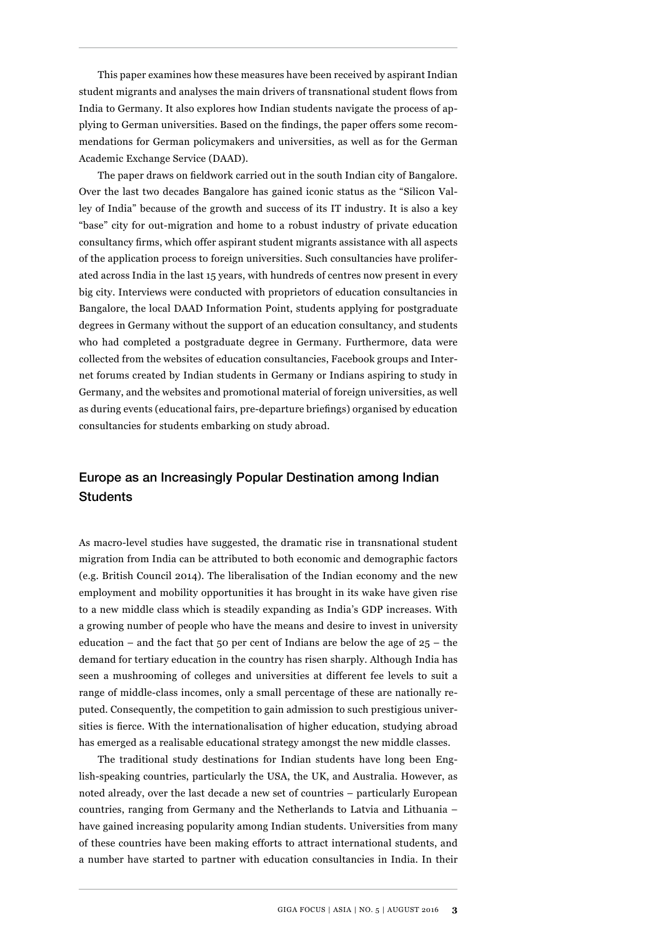This paper examines how these measures have been received by aspirant Indian student migrants and analyses the main drivers of transnational student flows from India to Germany. It also explores how Indian students navigate the process of applying to German universities. Based on the findings, the paper offers some recommendations for German policymakers and universities, as well as for the German Academic Exchange Service (DAAD).

The paper draws on fieldwork carried out in the south Indian city of Bangalore. Over the last two decades Bangalore has gained iconic status as the "Silicon Valley of India" because of the growth and success of its IT industry. It is also a key "base" city for out-migration and home to a robust industry of private education consultancy firms, which offer aspirant student migrants assistance with all aspects of the application process to foreign universities. Such consultancies have proliferated across India in the last 15 years, with hundreds of centres now present in every big city. Interviews were conducted with proprietors of education consultancies in Bangalore, the local DAAD Information Point, students applying for postgraduate degrees in Germany without the support of an education consultancy, and students who had completed a postgraduate degree in Germany. Furthermore, data were collected from the websites of education consultancies, Facebook groups and Internet forums created by Indian students in Germany or Indians aspiring to study in Germany, and the websites and promotional material of foreign universities, as well as during events (educational fairs, pre-departure briefings) organised by education consultancies for students embarking on study abroad.

### Europe as an Increasingly Popular Destination among Indian **Students**

As macro-level studies have suggested, the dramatic rise in transnational student migration from India can be attributed to both economic and demographic factors (e.g. British Council 2014). The liberalisation of the Indian economy and the new employment and mobility opportunities it has brought in its wake have given rise to a new middle class which is steadily expanding as India's GDP increases. With a growing number of people who have the means and desire to invest in university education – and the fact that 50 per cent of Indians are below the age of  $25 -$  the demand for tertiary education in the country has risen sharply. Although India has seen a mushrooming of colleges and universities at different fee levels to suit a range of middle-class incomes, only a small percentage of these are nationally reputed. Consequently, the competition to gain admission to such prestigious universities is fierce. With the internationalisation of higher education, studying abroad has emerged as a realisable educational strategy amongst the new middle classes.

The traditional study destinations for Indian students have long been English-speaking countries, particularly the USA, the UK, and Australia. However, as noted already, over the last decade a new set of countries – particularly European countries, ranging from Germany and the Netherlands to Latvia and Lithuania – have gained increasing popularity among Indian students. Universities from many of these countries have been making efforts to attract international students, and a number have started to partner with education consultancies in India. In their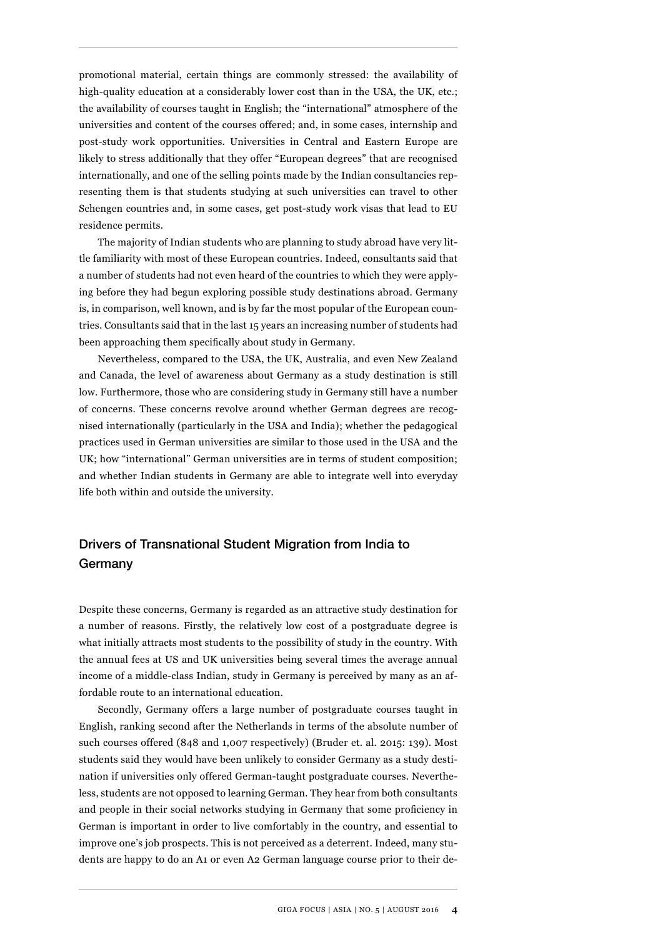promotional material, certain things are commonly stressed: the availability of high-quality education at a considerably lower cost than in the USA, the UK, etc.; the availability of courses taught in English; the "international" atmosphere of the universities and content of the courses offered; and, in some cases, internship and post-study work opportunities. Universities in Central and Eastern Europe are likely to stress additionally that they offer "European degrees" that are recognised internationally, and one of the selling points made by the Indian consultancies representing them is that students studying at such universities can travel to other Schengen countries and, in some cases, get post-study work visas that lead to EU residence permits.

The majority of Indian students who are planning to study abroad have very little familiarity with most of these European countries. Indeed, consultants said that a number of students had not even heard of the countries to which they were applying before they had begun exploring possible study destinations abroad. Germany is, in comparison, well known, and is by far the most popular of the European countries. Consultants said that in the last 15 years an increasing number of students had been approaching them specifically about study in Germany.

Nevertheless, compared to the USA, the UK, Australia, and even New Zealand and Canada, the level of awareness about Germany as a study destination is still low. Furthermore, those who are considering study in Germany still have a number of concerns. These concerns revolve around whether German degrees are recognised internationally (particularly in the USA and India); whether the pedagogical practices used in German universities are similar to those used in the USA and the UK; how "international" German universities are in terms of student composition; and whether Indian students in Germany are able to integrate well into everyday life both within and outside the university.

## Drivers of Transnational Student Migration from India to Germany

Despite these concerns, Germany is regarded as an attractive study destination for a number of reasons. Firstly, the relatively low cost of a postgraduate degree is what initially attracts most students to the possibility of study in the country. With the annual fees at US and UK universities being several times the average annual income of a middle-class Indian, study in Germany is perceived by many as an affordable route to an international education.

Secondly, Germany offers a large number of postgraduate courses taught in English, ranking second after the Netherlands in terms of the absolute number of such courses offered (848 and 1,007 respectively) (Bruder et. al. 2015: 139). Most students said they would have been unlikely to consider Germany as a study destination if universities only offered German-taught postgraduate courses. Nevertheless, students are not opposed to learning German. They hear from both consultants and people in their social networks studying in Germany that some proficiency in German is important in order to live comfortably in the country, and essential to improve one's job prospects. This is not perceived as a deterrent. Indeed, many students are happy to do an A1 or even A2 German language course prior to their de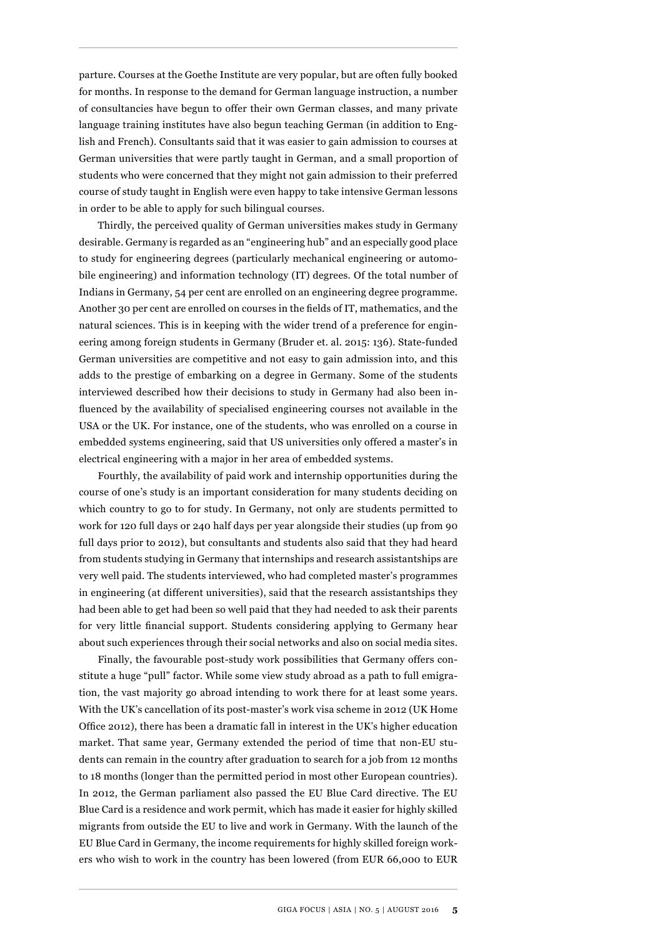parture. Courses at the Goethe Institute are very popular, but are often fully booked for months. In response to the demand for German language instruction, a number of consultancies have begun to offer their own German classes, and many private language training institutes have also begun teaching German (in addition to English and French). Consultants said that it was easier to gain admission to courses at German universities that were partly taught in German, and a small proportion of students who were concerned that they might not gain admission to their preferred course of study taught in English were even happy to take intensive German lessons in order to be able to apply for such bilingual courses.

Thirdly, the perceived quality of German universities makes study in Germany desirable. Germany is regarded as an "engineering hub" and an especially good place to study for engineering degrees (particularly mechanical engineering or automobile engineering) and information technology (IT) degrees. Of the total number of Indians in Germany, 54 per cent are enrolled on an engineering degree programme. Another 30 per cent are enrolled on courses in the fields of IT, mathematics, and the natural sciences. This is in keeping with the wider trend of a preference for engineering among foreign students in Germany (Bruder et. al. 2015: 136). State-funded German universities are competitive and not easy to gain admission into, and this adds to the prestige of embarking on a degree in Germany. Some of the students interviewed described how their decisions to study in Germany had also been influenced by the availability of specialised engineering courses not available in the USA or the UK. For instance, one of the students, who was enrolled on a course in embedded systems engineering, said that US universities only offered a master's in electrical engineering with a major in her area of embedded systems.

Fourthly, the availability of paid work and internship opportunities during the course of one's study is an important consideration for many students deciding on which country to go to for study. In Germany, not only are students permitted to work for 120 full days or 240 half days per year alongside their studies (up from 90 full days prior to 2012), but consultants and students also said that they had heard from students studying in Germany that internships and research assistantships are very well paid. The students interviewed, who had completed master's programmes in engineering (at different universities), said that the research assistantships they had been able to get had been so well paid that they had needed to ask their parents for very little financial support. Students considering applying to Germany hear about such experiences through their social networks and also on social media sites.

Finally, the favourable post-study work possibilities that Germany offers constitute a huge "pull" factor. While some view study abroad as a path to full emigration, the vast majority go abroad intending to work there for at least some years. With the UK's cancellation of its post-master's work visa scheme in 2012 (UK Home Office 2012), there has been a dramatic fall in interest in the UK's higher education market. That same year, Germany extended the period of time that non-EU students can remain in the country after graduation to search for a job from 12 months to 18 months (longer than the permitted period in most other European countries). In 2012, the German parliament also passed the EU Blue Card directive. The EU Blue Card is a residence and work permit, which has made it easier for highly skilled migrants from outside the EU to live and work in Germany. With the launch of the EU Blue Card in Germany, the income requirements for highly skilled foreign workers who wish to work in the country has been lowered (from EUR 66,000 to EUR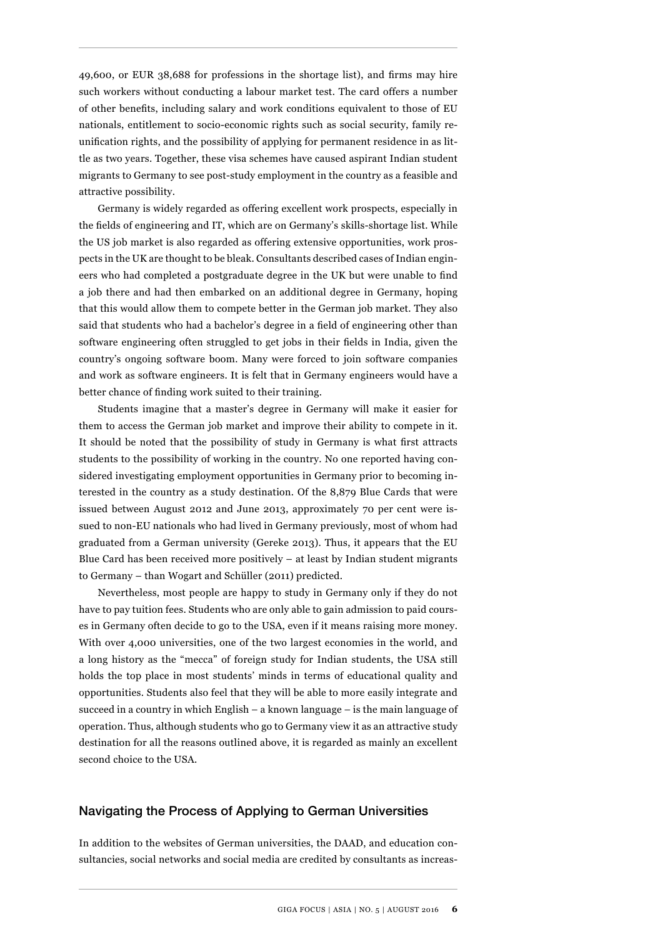49,600, or EUR 38,688 for professions in the shortage list), and firms may hire such workers without conducting a labour market test. The card offers a number of other benefits, including salary and work conditions equivalent to those of EU nationals, entitlement to socio-economic rights such as social security, family reunification rights, and the possibility of applying for permanent residence in as little as two years. Together, these visa schemes have caused aspirant Indian student migrants to Germany to see post-study employment in the country as a feasible and attractive possibility.

Germany is widely regarded as offering excellent work prospects, especially in the fields of engineering and IT, which are on Germany's skills-shortage list. While the US job market is also regarded as offering extensive opportunities, work prospects in the UK are thought to be bleak. Consultants described cases of Indian engineers who had completed a postgraduate degree in the UK but were unable to find a job there and had then embarked on an additional degree in Germany, hoping that this would allow them to compete better in the German job market. They also said that students who had a bachelor's degree in a field of engineering other than software engineering often struggled to get jobs in their fields in India, given the country's ongoing software boom. Many were forced to join software companies and work as software engineers. It is felt that in Germany engineers would have a better chance of finding work suited to their training.

Students imagine that a master's degree in Germany will make it easier for them to access the German job market and improve their ability to compete in it. It should be noted that the possibility of study in Germany is what first attracts students to the possibility of working in the country. No one reported having considered investigating employment opportunities in Germany prior to becoming interested in the country as a study destination. Of the 8,879 Blue Cards that were issued between August 2012 and June 2013, approximately 70 per cent were issued to non-EU nationals who had lived in Germany previously, most of whom had graduated from a German university (Gereke 2013). Thus, it appears that the EU Blue Card has been received more positively – at least by Indian student migrants to Germany – than Wogart and Schüller (2011) predicted.

Nevertheless, most people are happy to study in Germany only if they do not have to pay tuition fees. Students who are only able to gain admission to paid courses in Germany often decide to go to the USA, even if it means raising more money. With over 4,000 universities, one of the two largest economies in the world, and a long history as the "mecca" of foreign study for Indian students, the USA still holds the top place in most students' minds in terms of educational quality and opportunities. Students also feel that they will be able to more easily integrate and succeed in a country in which English – a known language – is the main language of operation. Thus, although students who go to Germany view it as an attractive study destination for all the reasons outlined above, it is regarded as mainly an excellent second choice to the USA.

#### Navigating the Process of Applying to German Universities

In addition to the websites of German universities, the DAAD, and education consultancies, social networks and social media are credited by consultants as increas-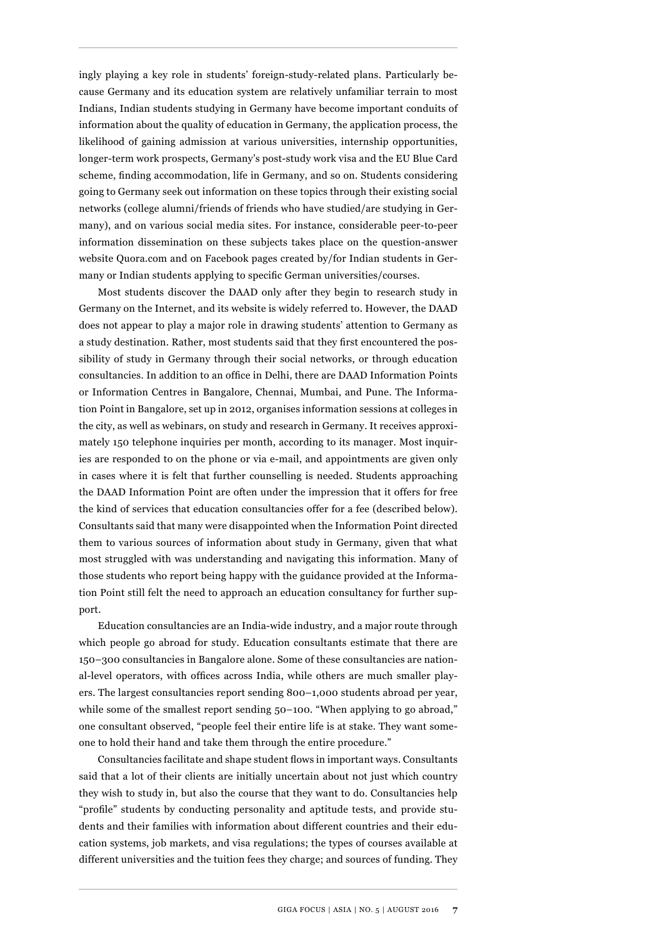ingly playing a key role in students' foreign-study-related plans. Particularly because Germany and its education system are relatively unfamiliar terrain to most Indians, Indian students studying in Germany have become important conduits of information about the quality of education in Germany, the application process, the likelihood of gaining admission at various universities, internship opportunities, longer-term work prospects, Germany's post-study work visa and the EU Blue Card scheme, finding accommodation, life in Germany, and so on. Students considering going to Germany seek out information on these topics through their existing social networks (college alumni/friends of friends who have studied/are studying in Germany), and on various social media sites. For instance, considerable peer-to-peer information dissemination on these subjects takes place on the question-answer website Quora.com and on Facebook pages created by/for Indian students in Germany or Indian students applying to specific German universities/courses.

Most students discover the DAAD only after they begin to research study in Germany on the Internet, and its website is widely referred to. However, the DAAD does not appear to play a major role in drawing students' attention to Germany as a study destination. Rather, most students said that they first encountered the possibility of study in Germany through their social networks, or through education consultancies. In addition to an office in Delhi, there are DAAD Information Points or Information Centres in Bangalore, Chennai, Mumbai, and Pune. The Information Point in Bangalore, set up in 2012, organises information sessions at colleges in the city, as well as webinars, on study and research in Germany. It receives approximately 150 telephone inquiries per month, according to its manager. Most inquiries are responded to on the phone or via e-mail, and appointments are given only in cases where it is felt that further counselling is needed. Students approaching the DAAD Information Point are often under the impression that it offers for free the kind of services that education consultancies offer for a fee (described below). Consultants said that many were disappointed when the Information Point directed them to various sources of information about study in Germany, given that what most struggled with was understanding and navigating this information. Many of those students who report being happy with the guidance provided at the Information Point still felt the need to approach an education consultancy for further support.

Education consultancies are an India-wide industry, and a major route through which people go abroad for study. Education consultants estimate that there are 150–300 consultancies in Bangalore alone. Some of these consultancies are national-level operators, with offices across India, while others are much smaller players. The largest consultancies report sending 800–1,000 students abroad per year, while some of the smallest report sending 50-100. "When applying to go abroad," one consultant observed, "people feel their entire life is at stake. They want someone to hold their hand and take them through the entire procedure."

Consultancies facilitate and shape student flows in important ways. Consultants said that a lot of their clients are initially uncertain about not just which country they wish to study in, but also the course that they want to do. Consultancies help "profile" students by conducting personality and aptitude tests, and provide students and their families with information about different countries and their education systems, job markets, and visa regulations; the types of courses available at different universities and the tuition fees they charge; and sources of funding. They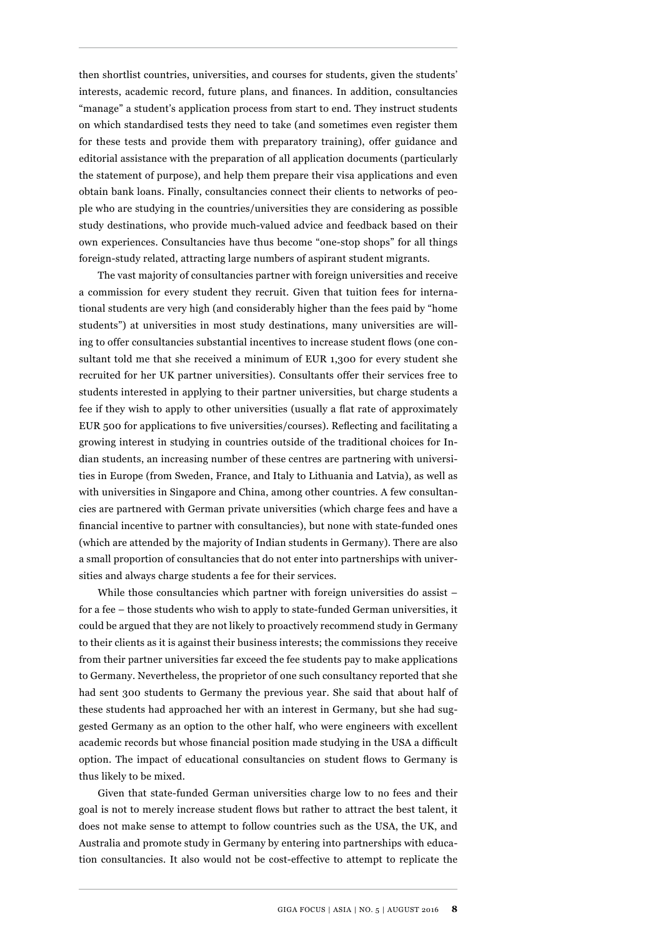then shortlist countries, universities, and courses for students, given the students' interests, academic record, future plans, and finances. In addition, consultancies "manage" a student's application process from start to end. They instruct students on which standardised tests they need to take (and sometimes even register them for these tests and provide them with preparatory training), offer guidance and editorial assistance with the preparation of all application documents (particularly the statement of purpose), and help them prepare their visa applications and even obtain bank loans. Finally, consultancies connect their clients to networks of people who are studying in the countries/universities they are considering as possible study destinations, who provide much-valued advice and feedback based on their own experiences. Consultancies have thus become "one-stop shops" for all things foreign-study related, attracting large numbers of aspirant student migrants.

The vast majority of consultancies partner with foreign universities and receive a commission for every student they recruit. Given that tuition fees for international students are very high (and considerably higher than the fees paid by "home students") at universities in most study destinations, many universities are willing to offer consultancies substantial incentives to increase student flows (one consultant told me that she received a minimum of EUR 1,300 for every student she recruited for her UK partner universities). Consultants offer their services free to students interested in applying to their partner universities, but charge students a fee if they wish to apply to other universities (usually a flat rate of approximately EUR 500 for applications to five universities/courses). Reflecting and facilitating a growing interest in studying in countries outside of the traditional choices for Indian students, an increasing number of these centres are partnering with universities in Europe (from Sweden, France, and Italy to Lithuania and Latvia), as well as with universities in Singapore and China, among other countries. A few consultancies are partnered with German private universities (which charge fees and have a financial incentive to partner with consultancies), but none with state-funded ones (which are attended by the majority of Indian students in Germany). There are also a small proportion of consultancies that do not enter into partnerships with universities and always charge students a fee for their services.

While those consultancies which partner with foreign universities do assist – for a fee – those students who wish to apply to state-funded German universities, it could be argued that they are not likely to proactively recommend study in Germany to their clients as it is against their business interests; the commissions they receive from their partner universities far exceed the fee students pay to make applications to Germany. Nevertheless, the proprietor of one such consultancy reported that she had sent 300 students to Germany the previous year. She said that about half of these students had approached her with an interest in Germany, but she had suggested Germany as an option to the other half, who were engineers with excellent academic records but whose financial position made studying in the USA a difficult option. The impact of educational consultancies on student flows to Germany is thus likely to be mixed.

Given that state-funded German universities charge low to no fees and their goal is not to merely increase student flows but rather to attract the best talent, it does not make sense to attempt to follow countries such as the USA, the UK, and Australia and promote study in Germany by entering into partnerships with education consultancies. It also would not be cost-effective to attempt to replicate the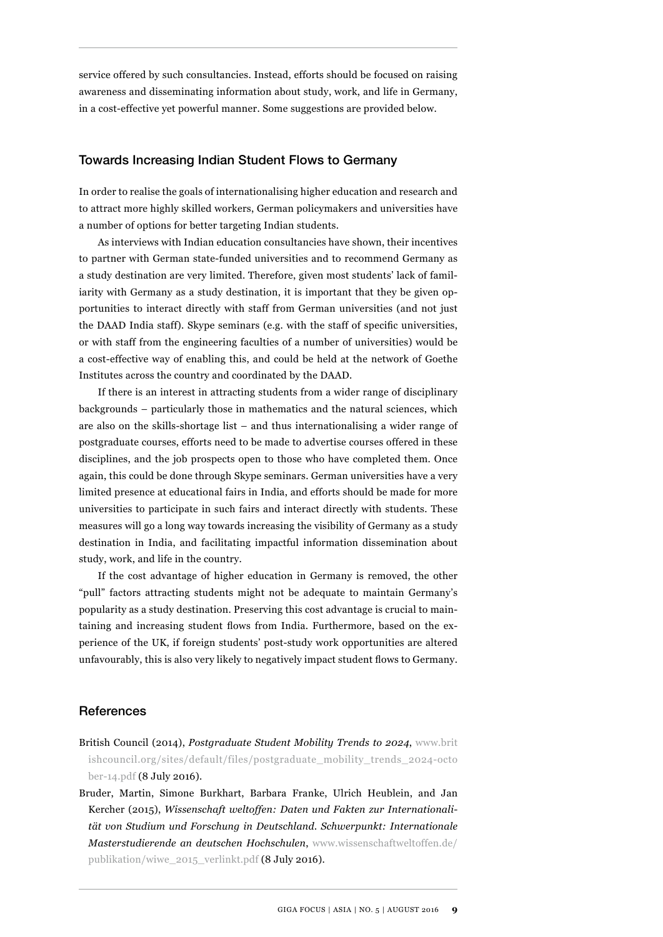service offered by such consultancies. Instead, efforts should be focused on raising awareness and disseminating information about study, work, and life in Germany, in a cost-effective yet powerful manner. Some suggestions are provided below.

#### Towards Increasing Indian Student Flows to Germany

In order to realise the goals of internationalising higher education and research and to attract more highly skilled workers, German policymakers and universities have a number of options for better targeting Indian students.

As interviews with Indian education consultancies have shown, their incentives to partner with German state-funded universities and to recommend Germany as a study destination are very limited. Therefore, given most students' lack of familiarity with Germany as a study destination, it is important that they be given opportunities to interact directly with staff from German universities (and not just the DAAD India staff). Skype seminars (e.g. with the staff of specific universities, or with staff from the engineering faculties of a number of universities) would be a cost-effective way of enabling this, and could be held at the network of Goethe Institutes across the country and coordinated by the DAAD.

If there is an interest in attracting students from a wider range of disciplinary backgrounds – particularly those in mathematics and the natural sciences, which are also on the skills-shortage list – and thus internationalising a wider range of postgraduate courses, efforts need to be made to advertise courses offered in these disciplines, and the job prospects open to those who have completed them. Once again, this could be done through Skype seminars. German universities have a very limited presence at educational fairs in India, and efforts should be made for more universities to participate in such fairs and interact directly with students. These measures will go a long way towards increasing the visibility of Germany as a study destination in India, and facilitating impactful information dissemination about study, work, and life in the country.

If the cost advantage of higher education in Germany is removed, the other "pull" factors attracting students might not be adequate to maintain Germany's popularity as a study destination. Preserving this cost advantage is crucial to maintaining and increasing student flows from India. Furthermore, based on the experience of the UK, if foreign students' post-study work opportunities are altered unfavourably, this is also very likely to negatively impact student flows to Germany.

#### **References**

- British Council (2014), *Postgraduate Student Mobility Trends to 2024*, [www.brit](www.britishcouncil.org/sites/default/files/postgraduate_mobility_trends_2024-october-14.pdf) [ishcouncil.org/sites/default/files/postgraduate\\_mobility\\_trends\\_2024-octo](www.britishcouncil.org/sites/default/files/postgraduate_mobility_trends_2024-october-14.pdf)  [ber-14.pdf](www.britishcouncil.org/sites/default/files/postgraduate_mobility_trends_2024-october-14.pdf) (8 July 2016).
- Bruder, Martin, Simone Burkhart, Barbara Franke, Ulrich Heublein, and Jan Kercher (2015), *Wissenschaft weltoffen: Daten und Fakten zur Internationalität von Studium und Forschung in Deutschland. Schwerpunkt: Internationale Masterstudierende an deutschen Hochschulen*, [www.wissenschaftweltoffen.de/](www.wissenschaftweltoffen.de/publikation/wiwe_2015_verlinkt.pdf) [publikation/wiwe\\_2015\\_verlinkt.pdf](www.wissenschaftweltoffen.de/publikation/wiwe_2015_verlinkt.pdf) (8 July 2016).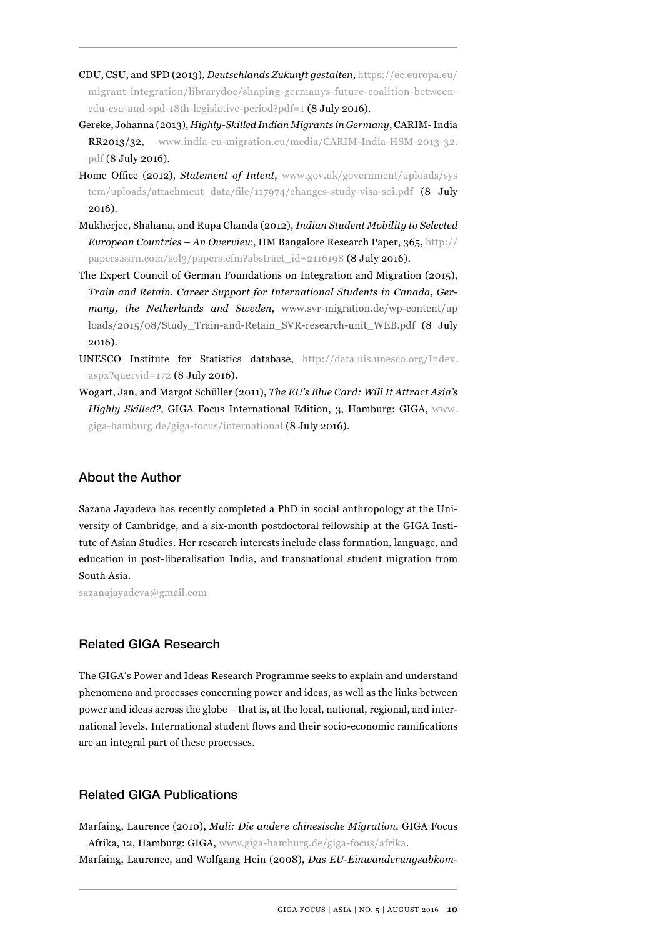- CDU, CSU, and SPD (2013), *Deutschlands Zukunft gestalten*, [https://ec.europa.eu/](https://ec.europa.eu/migrant-integration/librarydoc/shaping-germanys-future-coalition-between-cdu-csu-and-spd-18th-legislative-period?pdf=1) [migrant-integration/librarydoc/shaping-germanys-future-coalition-between](https://ec.europa.eu/migrant-integration/librarydoc/shaping-germanys-future-coalition-between-cdu-csu-and-spd-18th-legislative-period?pdf=1)[cdu-csu-and-spd-18th-legislative-period?pdf=1](https://ec.europa.eu/migrant-integration/librarydoc/shaping-germanys-future-coalition-between-cdu-csu-and-spd-18th-legislative-period?pdf=1) (8 July 2016).
- Gereke, Johanna (2013), *Highly-Skilled Indian Migrants in Germany*, CARIM- India RR2013/32, [www.india-eu-migration.eu/media/CARIM-India-HSM-2013-32.](www.india-eu-migration.eu/media/CARIM-India-HSM-2013-32.pdf) [pdf](www.india-eu-migration.eu/media/CARIM-India-HSM-2013-32.pdf) (8 July 2016).
- Home Office (2012), *Statement of Intent*, [www.gov.uk/government/uploads/sys](http://papers.ssrn.com/sol3/papers.cfm?abstract_id=2116198) [tem/uploads/attachment\\_data/file/117974/changes-study-visa-soi.pdf \(8 July](http://papers.ssrn.com/sol3/papers.cfm?abstract_id=2116198) [2016\).](http://papers.ssrn.com/sol3/papers.cfm?abstract_id=2116198)
- Mukherjee, Shahana, and Rupa Chanda (2012), *Indian Student Mobility to Selected European Countries – An Overview*, IIM Bangalore Research Paper, 365, [http://](http://papers.ssrn.com/sol3/papers.cfm?abstract_id=2116198) [papers.ssrn.com/sol3/papers.cfm?abstract\\_id=2116198](http://papers.ssrn.com/sol3/papers.cfm?abstract_id=2116198) (8 July 2016).
- The Expert Council of German Foundations on Integration and Migration (2015), *Train and Retain. Career Support for International Students in Canada, Germany, the Netherlands and Sweden*, [www.svr-migration.de/wp-content/up](www.svr-migration.de/wp-content/uploads/2015/08/Study_Train-and-Retain_SVR-research-unit_WEB.pdf) [loads/2015/08/Study\\_Train-and-Retain\\_SVR-research-unit\\_WEB.pdf](www.svr-migration.de/wp-content/uploads/2015/08/Study_Train-and-Retain_SVR-research-unit_WEB.pdf) (8 July 2016).
- UNESCO Institute for Statistics database, [http://data.uis.unesco.org/Index.](http://data.uis.unesco.org/Index.aspx?queryid=172) aspx?queryid= $172$  (8 July 2016).
- Wogart, Jan, and Margot Schüller (2011), *The EU's Blue Card: Will It Attract Asia's Highly Skilled?*, GIGA Focus International Edition, 3, Hamburg: GIGA, [www.](www.giga-hamburg.de/giga-focus/international) [giga-hamburg.de/giga-focus/international](www.giga-hamburg.de/giga-focus/international) (8 July 2016).

#### About the Author

Sazana Jayadeva has recently completed a PhD in social anthropology at the University of Cambridge, and a six-month postdoctoral fellowship at the GIGA Institute of Asian Studies. Her research interests include class formation, language, and education in post-liberalisation India, and transnational student migration from South Asia.

sazanajayadeva@gmail.com

#### Related GIGA Research

The GIGA's Power and Ideas Research Programme seeks to explain and understand phenomena and processes concerning power and ideas, as well as the links between power and ideas across the globe – that is, at the local, national, regional, and international levels. International student flows and their socio-economic ramifications are an integral part of these processes.

#### Related GIGA Publications

Marfaing, Laurence (2010), *Mali: Die andere chinesische Migration*, GIGA Focus Afrika, 12, Hamburg: GIGA, www.giga-hamburg.de/giga-focus/afrika. Marfaing, Laurence, and Wolfgang Hein (2008), *Das EU-Einwanderungsabkom-*